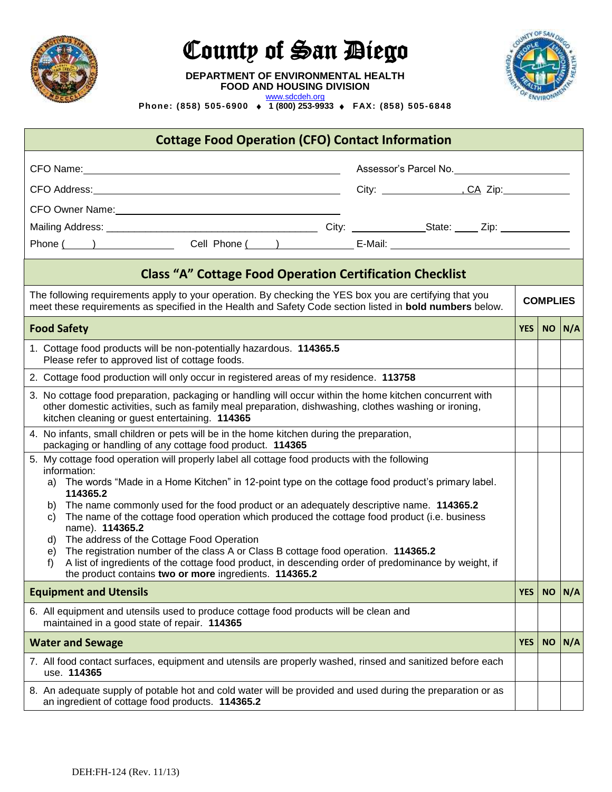

## County of San *Diego*

**DEPARTMENT OF ENVIRONMENTAL HEALTH**

**FOOD AND HOUSING DIVISION** [www.sdcdeh.org](http://www.sdcdeh.org/)



**Phone: (858) 505-6900 1 (800) 253-9933 FAX: (858) 505-6848** 

| <b>Cottage Food Operation (CFO) Contact Information</b>                                                                                                                                                                                                                                                                              |            |            |                 |  |
|--------------------------------------------------------------------------------------------------------------------------------------------------------------------------------------------------------------------------------------------------------------------------------------------------------------------------------------|------------|------------|-----------------|--|
| Assessor's Parcel No.                                                                                                                                                                                                                                                                                                                |            |            |                 |  |
|                                                                                                                                                                                                                                                                                                                                      |            |            |                 |  |
|                                                                                                                                                                                                                                                                                                                                      |            |            |                 |  |
|                                                                                                                                                                                                                                                                                                                                      |            |            |                 |  |
|                                                                                                                                                                                                                                                                                                                                      |            |            |                 |  |
| <b>Class "A" Cottage Food Operation Certification Checklist</b>                                                                                                                                                                                                                                                                      |            |            |                 |  |
| The following requirements apply to your operation. By checking the YES box you are certifying that you<br>meet these requirements as specified in the Health and Safety Code section listed in <b>bold numbers</b> below.                                                                                                           |            |            | <b>COMPLIES</b> |  |
| <b>Food Safety</b>                                                                                                                                                                                                                                                                                                                   |            | YES NO N/A |                 |  |
| 1. Cottage food products will be non-potentially hazardous. 114365.5<br>Please refer to approved list of cottage foods.                                                                                                                                                                                                              |            |            |                 |  |
| 2. Cottage food production will only occur in registered areas of my residence. 113758                                                                                                                                                                                                                                               |            |            |                 |  |
| 3. No cottage food preparation, packaging or handling will occur within the home kitchen concurrent with<br>other domestic activities, such as family meal preparation, dishwashing, clothes washing or ironing,<br>kitchen cleaning or guest entertaining. 114365                                                                   |            |            |                 |  |
| 4. No infants, small children or pets will be in the home kitchen during the preparation,<br>packaging or handling of any cottage food product. 114365                                                                                                                                                                               |            |            |                 |  |
| 5. My cottage food operation will properly label all cottage food products with the following<br>information:<br>The words "Made in a Home Kitchen" in 12-point type on the cottage food product's primary label.<br>a)<br>114365.2<br>The name commonly used for the food product or an adequately descriptive name. 114365.2<br>b) |            |            |                 |  |
| The name of the cottage food operation which produced the cottage food product (i.e. business<br>C)<br>name). 114365.2                                                                                                                                                                                                               |            |            |                 |  |
| The address of the Cottage Food Operation<br>d)<br>The registration number of the class A or Class B cottage food operation. 114365.2<br>e)<br>A list of ingredients of the cottage food product, in descending order of predominance by weight, if<br>f)<br>the product contains two or more ingredients. 114365.2                  |            |            |                 |  |
| <b>Equipment and Utensils</b>                                                                                                                                                                                                                                                                                                        | <b>YES</b> | <b>NO</b>  | N/A             |  |
| 6. All equipment and utensils used to produce cottage food products will be clean and<br>maintained in a good state of repair. 114365                                                                                                                                                                                                |            |            |                 |  |
| <b>Water and Sewage</b>                                                                                                                                                                                                                                                                                                              | <b>YES</b> | <b>NO</b>  | N/A             |  |
| 7. All food contact surfaces, equipment and utensils are properly washed, rinsed and sanitized before each<br>use. 114365                                                                                                                                                                                                            |            |            |                 |  |
| 8. An adequate supply of potable hot and cold water will be provided and used during the preparation or as<br>an ingredient of cottage food products. 114365.2                                                                                                                                                                       |            |            |                 |  |